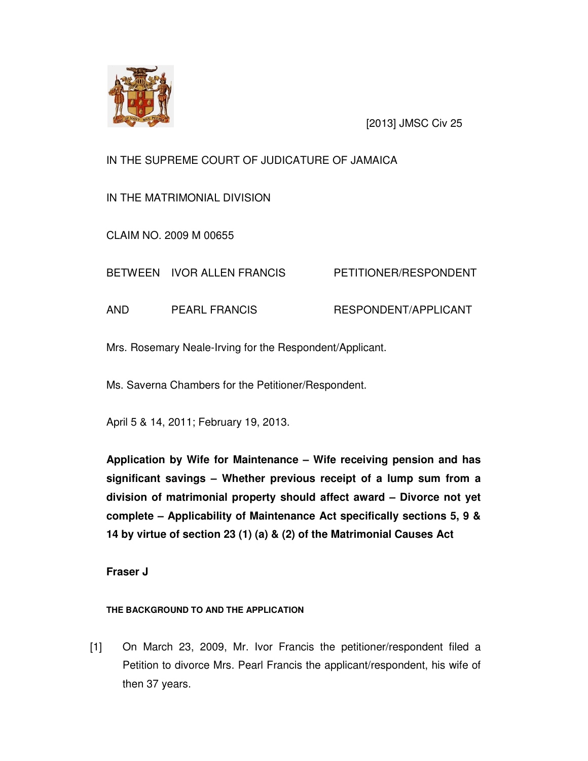

[2013] JMSC Civ 25

# IN THE SUPREME COURT OF JUDICATURE OF JAMAICA

IN THE MATRIMONIAL DIVISION

CLAIM NO. 2009 M 00655

BETWEEN IVOR ALLEN FRANCIS PETITIONER/RESPONDENT

AND PEARL FRANCIS RESPONDENT/APPLICANT

Mrs. Rosemary Neale-Irving for the Respondent/Applicant.

Ms. Saverna Chambers for the Petitioner/Respondent.

April 5 & 14, 2011; February 19, 2013.

**Application by Wife for Maintenance – Wife receiving pension and has significant savings – Whether previous receipt of a lump sum from a division of matrimonial property should affect award – Divorce not yet complete – Applicability of Maintenance Act specifically sections 5, 9 & 14 by virtue of section 23 (1) (a) & (2) of the Matrimonial Causes Act** 

**Fraser J** 

# **THE BACKGROUND TO AND THE APPLICATION**

[1] On March 23, 2009, Mr. Ivor Francis the petitioner/respondent filed a Petition to divorce Mrs. Pearl Francis the applicant/respondent, his wife of then 37 years.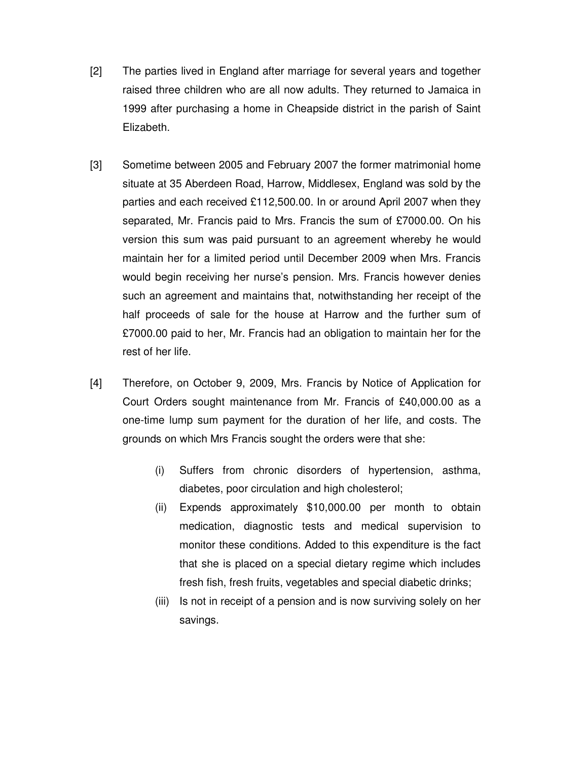- [2] The parties lived in England after marriage for several years and together raised three children who are all now adults. They returned to Jamaica in 1999 after purchasing a home in Cheapside district in the parish of Saint Elizabeth.
- [3] Sometime between 2005 and February 2007 the former matrimonial home situate at 35 Aberdeen Road, Harrow, Middlesex, England was sold by the parties and each received £112,500.00. In or around April 2007 when they separated, Mr. Francis paid to Mrs. Francis the sum of £7000.00. On his version this sum was paid pursuant to an agreement whereby he would maintain her for a limited period until December 2009 when Mrs. Francis would begin receiving her nurse's pension. Mrs. Francis however denies such an agreement and maintains that, notwithstanding her receipt of the half proceeds of sale for the house at Harrow and the further sum of £7000.00 paid to her, Mr. Francis had an obligation to maintain her for the rest of her life.
- [4] Therefore, on October 9, 2009, Mrs. Francis by Notice of Application for Court Orders sought maintenance from Mr. Francis of £40,000.00 as a one-time lump sum payment for the duration of her life, and costs. The grounds on which Mrs Francis sought the orders were that she:
	- (i) Suffers from chronic disorders of hypertension, asthma, diabetes, poor circulation and high cholesterol;
	- (ii) Expends approximately \$10,000.00 per month to obtain medication, diagnostic tests and medical supervision to monitor these conditions. Added to this expenditure is the fact that she is placed on a special dietary regime which includes fresh fish, fresh fruits, vegetables and special diabetic drinks;
	- (iii) Is not in receipt of a pension and is now surviving solely on her savings.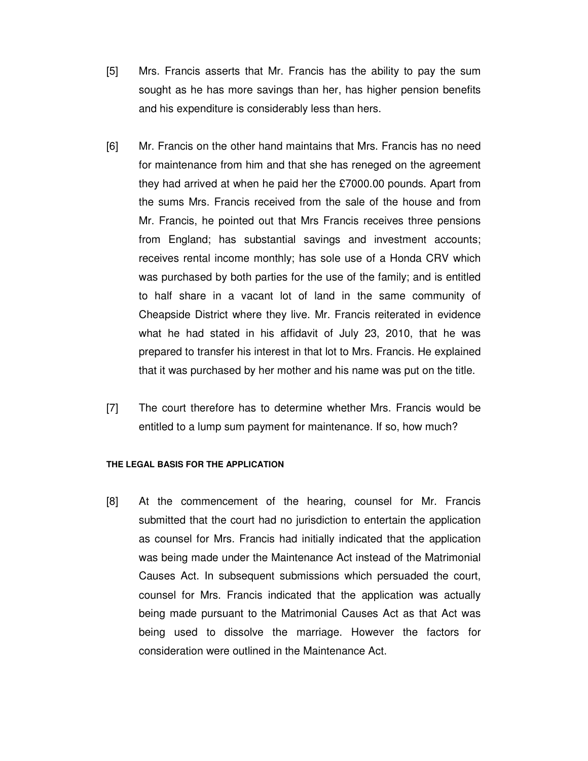- [5] Mrs. Francis asserts that Mr. Francis has the ability to pay the sum sought as he has more savings than her, has higher pension benefits and his expenditure is considerably less than hers.
- [6] Mr. Francis on the other hand maintains that Mrs. Francis has no need for maintenance from him and that she has reneged on the agreement they had arrived at when he paid her the £7000.00 pounds. Apart from the sums Mrs. Francis received from the sale of the house and from Mr. Francis, he pointed out that Mrs Francis receives three pensions from England; has substantial savings and investment accounts; receives rental income monthly; has sole use of a Honda CRV which was purchased by both parties for the use of the family; and is entitled to half share in a vacant lot of land in the same community of Cheapside District where they live. Mr. Francis reiterated in evidence what he had stated in his affidavit of July 23, 2010, that he was prepared to transfer his interest in that lot to Mrs. Francis. He explained that it was purchased by her mother and his name was put on the title.
- [7] The court therefore has to determine whether Mrs. Francis would be entitled to a lump sum payment for maintenance. If so, how much?

#### **THE LEGAL BASIS FOR THE APPLICATION**

[8] At the commencement of the hearing, counsel for Mr. Francis submitted that the court had no jurisdiction to entertain the application as counsel for Mrs. Francis had initially indicated that the application was being made under the Maintenance Act instead of the Matrimonial Causes Act. In subsequent submissions which persuaded the court, counsel for Mrs. Francis indicated that the application was actually being made pursuant to the Matrimonial Causes Act as that Act was being used to dissolve the marriage. However the factors for consideration were outlined in the Maintenance Act.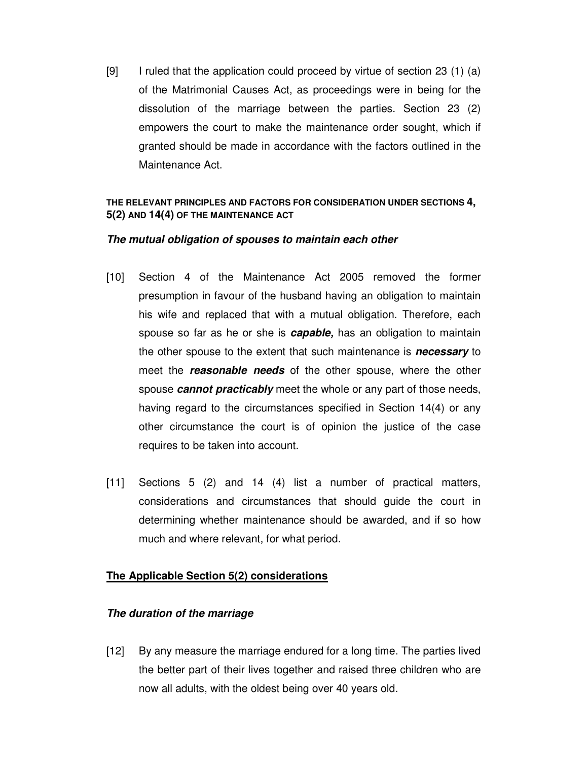[9] I ruled that the application could proceed by virtue of section 23 (1) (a) of the Matrimonial Causes Act, as proceedings were in being for the dissolution of the marriage between the parties. Section 23 (2) empowers the court to make the maintenance order sought, which if granted should be made in accordance with the factors outlined in the Maintenance Act.

# **THE RELEVANT PRINCIPLES AND FACTORS FOR CONSIDERATION UNDER SECTIONS 4, 5(2) AND 14(4) OF THE MAINTENANCE ACT**

# **The mutual obligation of spouses to maintain each other**

- [10] Section 4 of the Maintenance Act 2005 removed the former presumption in favour of the husband having an obligation to maintain his wife and replaced that with a mutual obligation. Therefore, each spouse so far as he or she is **capable,** has an obligation to maintain the other spouse to the extent that such maintenance is **necessary** to meet the **reasonable needs** of the other spouse, where the other spouse **cannot practicably** meet the whole or any part of those needs, having regard to the circumstances specified in Section 14(4) or any other circumstance the court is of opinion the justice of the case requires to be taken into account.
- [11] Sections 5 (2) and 14 (4) list a number of practical matters, considerations and circumstances that should guide the court in determining whether maintenance should be awarded, and if so how much and where relevant, for what period.

# **The Applicable Section 5(2) considerations**

# **The duration of the marriage**

[12] By any measure the marriage endured for a long time. The parties lived the better part of their lives together and raised three children who are now all adults, with the oldest being over 40 years old.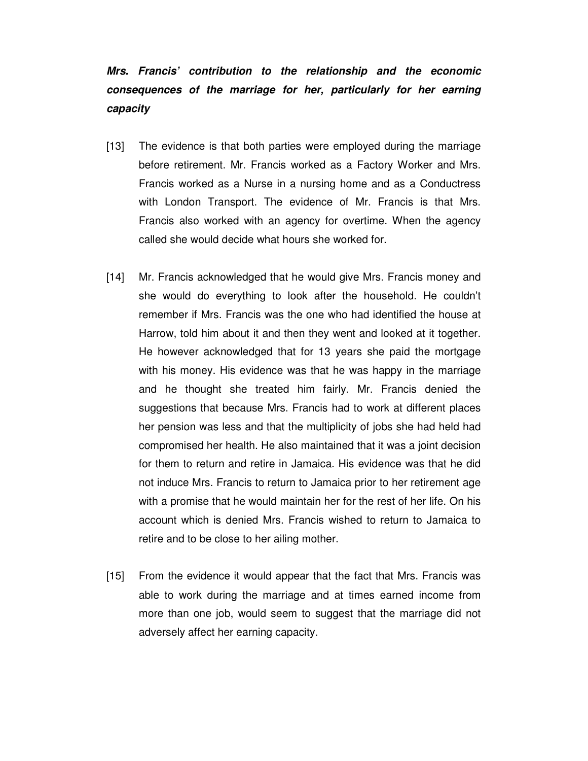# **Mrs. Francis' contribution to the relationship and the economic consequences of the marriage for her, particularly for her earning capacity**

- [13] The evidence is that both parties were employed during the marriage before retirement. Mr. Francis worked as a Factory Worker and Mrs. Francis worked as a Nurse in a nursing home and as a Conductress with London Transport. The evidence of Mr. Francis is that Mrs. Francis also worked with an agency for overtime. When the agency called she would decide what hours she worked for.
- [14] Mr. Francis acknowledged that he would give Mrs. Francis money and she would do everything to look after the household. He couldn't remember if Mrs. Francis was the one who had identified the house at Harrow, told him about it and then they went and looked at it together. He however acknowledged that for 13 years she paid the mortgage with his money. His evidence was that he was happy in the marriage and he thought she treated him fairly. Mr. Francis denied the suggestions that because Mrs. Francis had to work at different places her pension was less and that the multiplicity of jobs she had held had compromised her health. He also maintained that it was a joint decision for them to return and retire in Jamaica. His evidence was that he did not induce Mrs. Francis to return to Jamaica prior to her retirement age with a promise that he would maintain her for the rest of her life. On his account which is denied Mrs. Francis wished to return to Jamaica to retire and to be close to her ailing mother.
- [15] From the evidence it would appear that the fact that Mrs. Francis was able to work during the marriage and at times earned income from more than one job, would seem to suggest that the marriage did not adversely affect her earning capacity.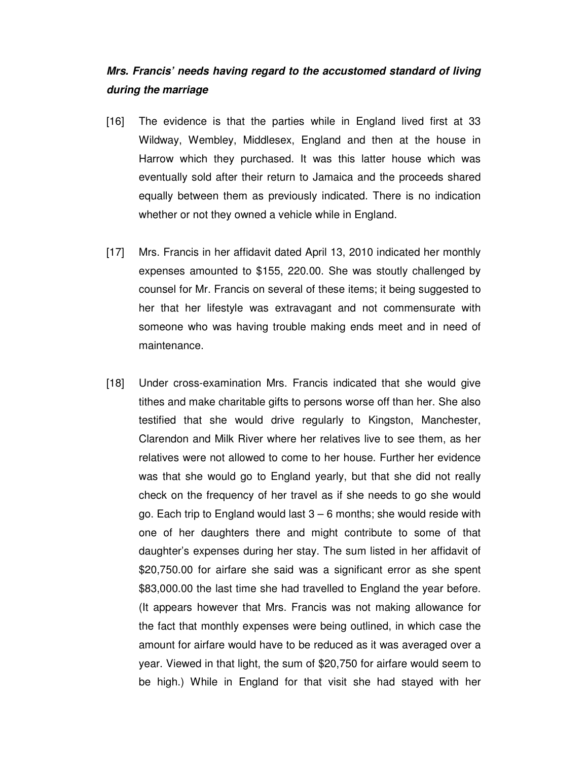# **Mrs. Francis' needs having regard to the accustomed standard of living during the marriage**

- [16] The evidence is that the parties while in England lived first at 33 Wildway, Wembley, Middlesex, England and then at the house in Harrow which they purchased. It was this latter house which was eventually sold after their return to Jamaica and the proceeds shared equally between them as previously indicated. There is no indication whether or not they owned a vehicle while in England.
- [17] Mrs. Francis in her affidavit dated April 13, 2010 indicated her monthly expenses amounted to \$155, 220.00. She was stoutly challenged by counsel for Mr. Francis on several of these items; it being suggested to her that her lifestyle was extravagant and not commensurate with someone who was having trouble making ends meet and in need of maintenance.
- [18] Under cross-examination Mrs. Francis indicated that she would give tithes and make charitable gifts to persons worse off than her. She also testified that she would drive regularly to Kingston, Manchester, Clarendon and Milk River where her relatives live to see them, as her relatives were not allowed to come to her house. Further her evidence was that she would go to England yearly, but that she did not really check on the frequency of her travel as if she needs to go she would go. Each trip to England would last  $3 - 6$  months; she would reside with one of her daughters there and might contribute to some of that daughter's expenses during her stay. The sum listed in her affidavit of \$20,750.00 for airfare she said was a significant error as she spent \$83,000.00 the last time she had travelled to England the year before. (It appears however that Mrs. Francis was not making allowance for the fact that monthly expenses were being outlined, in which case the amount for airfare would have to be reduced as it was averaged over a year. Viewed in that light, the sum of \$20,750 for airfare would seem to be high.) While in England for that visit she had stayed with her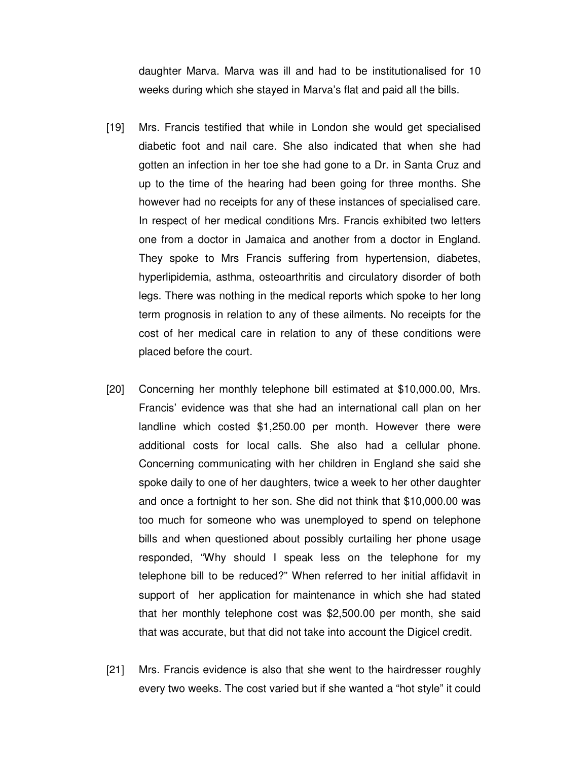daughter Marva. Marva was ill and had to be institutionalised for 10 weeks during which she stayed in Marva's flat and paid all the bills.

- [19] Mrs. Francis testified that while in London she would get specialised diabetic foot and nail care. She also indicated that when she had gotten an infection in her toe she had gone to a Dr. in Santa Cruz and up to the time of the hearing had been going for three months. She however had no receipts for any of these instances of specialised care. In respect of her medical conditions Mrs. Francis exhibited two letters one from a doctor in Jamaica and another from a doctor in England. They spoke to Mrs Francis suffering from hypertension, diabetes, hyperlipidemia, asthma, osteoarthritis and circulatory disorder of both legs. There was nothing in the medical reports which spoke to her long term prognosis in relation to any of these ailments. No receipts for the cost of her medical care in relation to any of these conditions were placed before the court.
- [20] Concerning her monthly telephone bill estimated at \$10,000.00, Mrs. Francis' evidence was that she had an international call plan on her landline which costed \$1,250.00 per month. However there were additional costs for local calls. She also had a cellular phone. Concerning communicating with her children in England she said she spoke daily to one of her daughters, twice a week to her other daughter and once a fortnight to her son. She did not think that \$10,000.00 was too much for someone who was unemployed to spend on telephone bills and when questioned about possibly curtailing her phone usage responded, "Why should I speak less on the telephone for my telephone bill to be reduced?" When referred to her initial affidavit in support of her application for maintenance in which she had stated that her monthly telephone cost was \$2,500.00 per month, she said that was accurate, but that did not take into account the Digicel credit.
- [21] Mrs. Francis evidence is also that she went to the hairdresser roughly every two weeks. The cost varied but if she wanted a "hot style" it could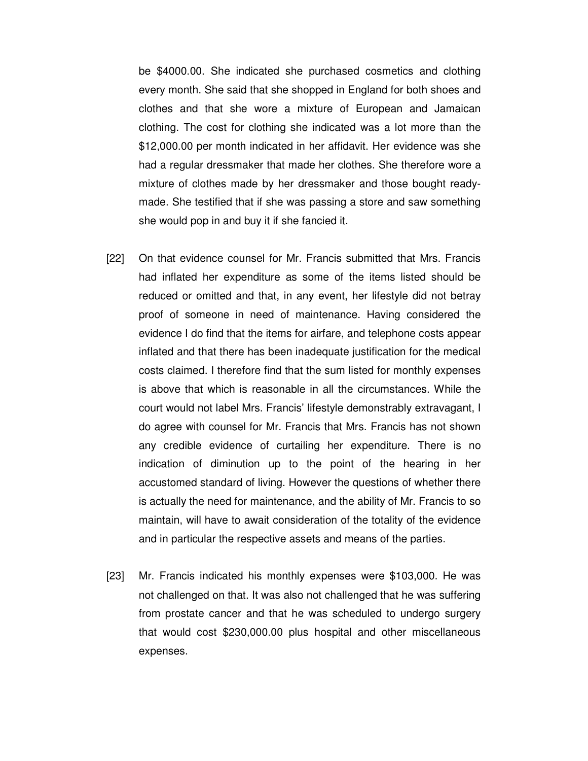be \$4000.00. She indicated she purchased cosmetics and clothing every month. She said that she shopped in England for both shoes and clothes and that she wore a mixture of European and Jamaican clothing. The cost for clothing she indicated was a lot more than the \$12,000.00 per month indicated in her affidavit. Her evidence was she had a regular dressmaker that made her clothes. She therefore wore a mixture of clothes made by her dressmaker and those bought readymade. She testified that if she was passing a store and saw something she would pop in and buy it if she fancied it.

- [22] On that evidence counsel for Mr. Francis submitted that Mrs. Francis had inflated her expenditure as some of the items listed should be reduced or omitted and that, in any event, her lifestyle did not betray proof of someone in need of maintenance. Having considered the evidence I do find that the items for airfare, and telephone costs appear inflated and that there has been inadequate justification for the medical costs claimed. I therefore find that the sum listed for monthly expenses is above that which is reasonable in all the circumstances. While the court would not label Mrs. Francis' lifestyle demonstrably extravagant, I do agree with counsel for Mr. Francis that Mrs. Francis has not shown any credible evidence of curtailing her expenditure. There is no indication of diminution up to the point of the hearing in her accustomed standard of living. However the questions of whether there is actually the need for maintenance, and the ability of Mr. Francis to so maintain, will have to await consideration of the totality of the evidence and in particular the respective assets and means of the parties.
- [23] Mr. Francis indicated his monthly expenses were \$103,000. He was not challenged on that. It was also not challenged that he was suffering from prostate cancer and that he was scheduled to undergo surgery that would cost \$230,000.00 plus hospital and other miscellaneous expenses.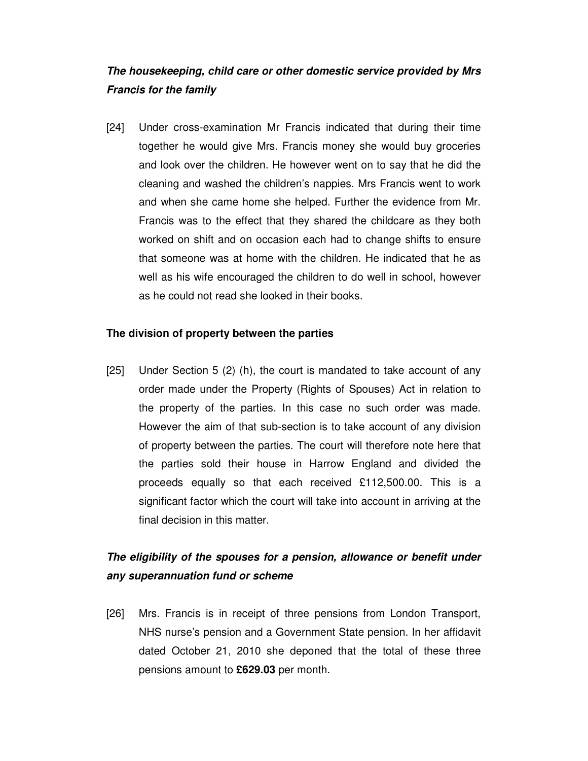# **The housekeeping, child care or other domestic service provided by Mrs Francis for the family**

[24] Under cross-examination Mr Francis indicated that during their time together he would give Mrs. Francis money she would buy groceries and look over the children. He however went on to say that he did the cleaning and washed the children's nappies. Mrs Francis went to work and when she came home she helped. Further the evidence from Mr. Francis was to the effect that they shared the childcare as they both worked on shift and on occasion each had to change shifts to ensure that someone was at home with the children. He indicated that he as well as his wife encouraged the children to do well in school, however as he could not read she looked in their books.

# **The division of property between the parties**

[25] Under Section 5 (2) (h), the court is mandated to take account of any order made under the Property (Rights of Spouses) Act in relation to the property of the parties. In this case no such order was made. However the aim of that sub-section is to take account of any division of property between the parties. The court will therefore note here that the parties sold their house in Harrow England and divided the proceeds equally so that each received £112,500.00. This is a significant factor which the court will take into account in arriving at the final decision in this matter.

# **The eligibility of the spouses for a pension, allowance or benefit under any superannuation fund or scheme**

[26] Mrs. Francis is in receipt of three pensions from London Transport, NHS nurse's pension and a Government State pension. In her affidavit dated October 21, 2010 she deponed that the total of these three pensions amount to **£629.03** per month.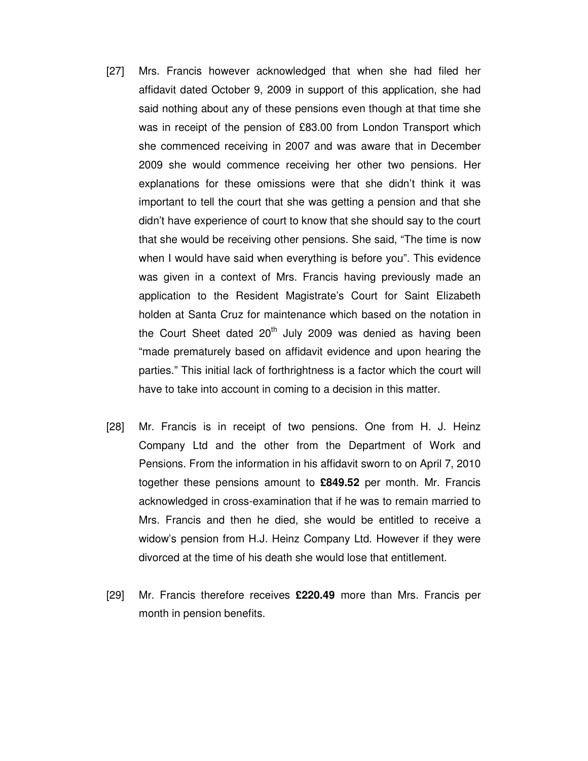- [27] Mrs. Francis however acknowledged that when she had filed her affidavit dated October 9, 2009 in support of this application, she had said nothing about any of these pensions even though at that time she was in receipt of the pension of £83.00 from London Transport which she commenced receiving in 2007 and was aware that in December 2009 she would commence receiving her other two pensions. Her explanations for these omissions were that she didn't think it was important to tell the court that she was getting a pension and that she didn't have experience of court to know that she should say to the court that she would be receiving other pensions. She said, "The time is now when I would have said when everything is before you". This evidence was given in a context of Mrs. Francis having previously made an application to the Resident Magistrate's Court for Saint Elizabeth holden at Santa Cruz for maintenance which based on the notation in the Court Sheet dated  $20<sup>th</sup>$  July 2009 was denied as having been "made prematurely based on affidavit evidence and upon hearing the parties." This initial lack of forthrightness is a factor which the court will have to take into account in coming to a decision in this matter.
- [28] Mr. Francis is in receipt of two pensions. One from H. J. Heinz Company Ltd and the other from the Department of Work and Pensions. From the information in his affidavit sworn to on April 7, 2010 together these pensions amount to **£849.52** per month. Mr. Francis acknowledged in cross-examination that if he was to remain married to Mrs. Francis and then he died, she would be entitled to receive a widow's pension from H.J. Heinz Company Ltd. However if they were divorced at the time of his death she would lose that entitlement.
- [29] Mr. Francis therefore receives **£220.49** more than Mrs. Francis per month in pension benefits.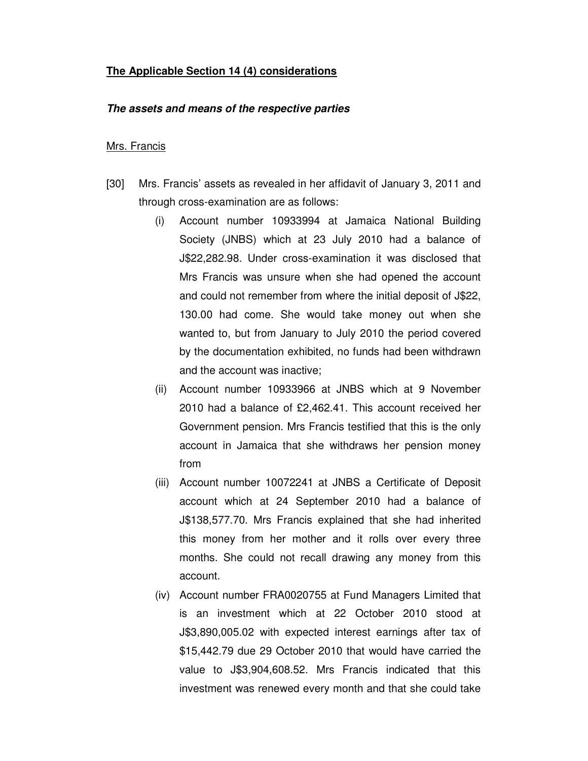# **The Applicable Section 14 (4) considerations**

#### **The assets and means of the respective parties**

#### Mrs. Francis

- [30] Mrs. Francis' assets as revealed in her affidavit of January 3, 2011 and through cross-examination are as follows:
	- (i) Account number 10933994 at Jamaica National Building Society (JNBS) which at 23 July 2010 had a balance of J\$22,282.98. Under cross-examination it was disclosed that Mrs Francis was unsure when she had opened the account and could not remember from where the initial deposit of J\$22, 130.00 had come. She would take money out when she wanted to, but from January to July 2010 the period covered by the documentation exhibited, no funds had been withdrawn and the account was inactive;
	- (ii) Account number 10933966 at JNBS which at 9 November 2010 had a balance of £2,462.41. This account received her Government pension. Mrs Francis testified that this is the only account in Jamaica that she withdraws her pension money from
	- (iii) Account number 10072241 at JNBS a Certificate of Deposit account which at 24 September 2010 had a balance of J\$138,577.70. Mrs Francis explained that she had inherited this money from her mother and it rolls over every three months. She could not recall drawing any money from this account.
	- (iv) Account number FRA0020755 at Fund Managers Limited that is an investment which at 22 October 2010 stood at J\$3,890,005.02 with expected interest earnings after tax of \$15,442.79 due 29 October 2010 that would have carried the value to J\$3,904,608.52. Mrs Francis indicated that this investment was renewed every month and that she could take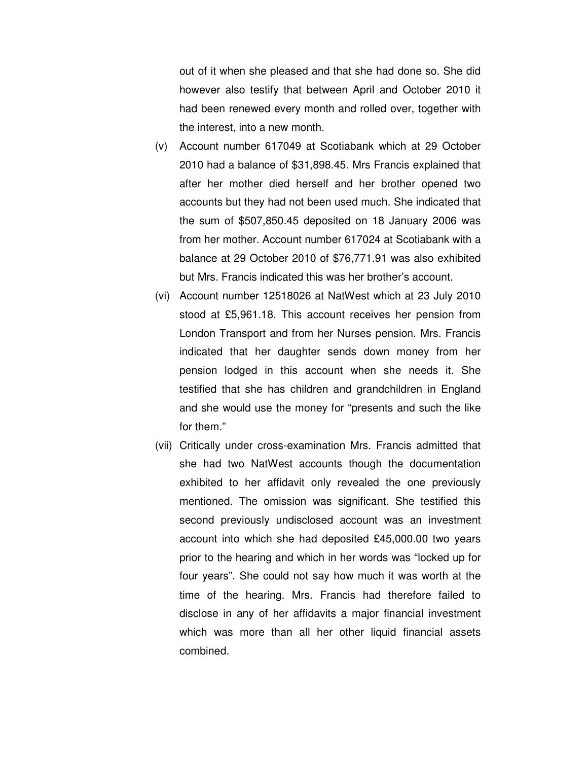out of it when she pleased and that she had done so. She did however also testify that between April and October 2010 it had been renewed every month and rolled over, together with the interest, into a new month.

- (v) Account number 617049 at Scotiabank which at 29 October 2010 had a balance of \$31,898.45. Mrs Francis explained that after her mother died herself and her brother opened two accounts but they had not been used much. She indicated that the sum of \$507,850.45 deposited on 18 January 2006 was from her mother. Account number 617024 at Scotiabank with a balance at 29 October 2010 of \$76,771.91 was also exhibited but Mrs. Francis indicated this was her brother's account.
- (vi) Account number 12518026 at NatWest which at 23 July 2010 stood at £5,961.18. This account receives her pension from London Transport and from her Nurses pension. Mrs. Francis indicated that her daughter sends down money from her pension lodged in this account when she needs it. She testified that she has children and grandchildren in England and she would use the money for "presents and such the like for them."
- (vii) Critically under cross-examination Mrs. Francis admitted that she had two NatWest accounts though the documentation exhibited to her affidavit only revealed the one previously mentioned. The omission was significant. She testified this second previously undisclosed account was an investment account into which she had deposited £45,000.00 two years prior to the hearing and which in her words was "locked up for four years". She could not say how much it was worth at the time of the hearing. Mrs. Francis had therefore failed to disclose in any of her affidavits a major financial investment which was more than all her other liquid financial assets combined.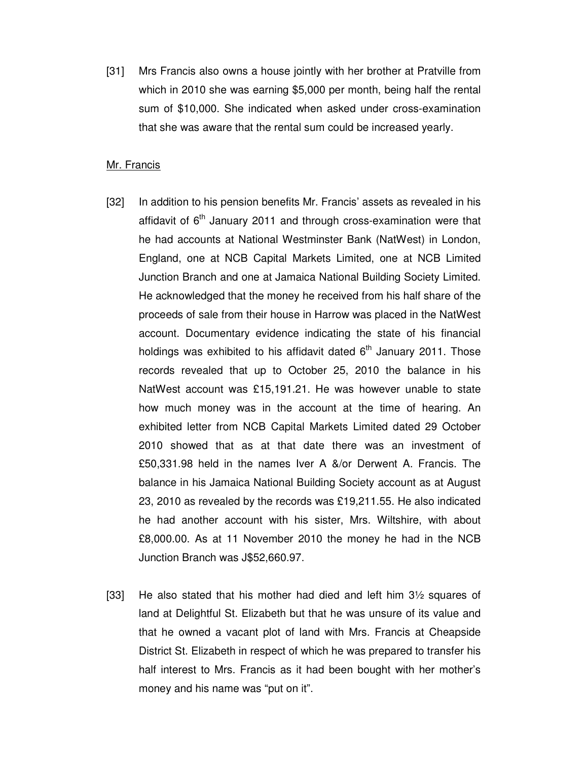[31] Mrs Francis also owns a house jointly with her brother at Pratville from which in 2010 she was earning \$5,000 per month, being half the rental sum of \$10,000. She indicated when asked under cross-examination that she was aware that the rental sum could be increased yearly.

#### Mr. Francis

- [32] In addition to his pension benefits Mr. Francis' assets as revealed in his affidavit of  $6<sup>th</sup>$  January 2011 and through cross-examination were that he had accounts at National Westminster Bank (NatWest) in London, England, one at NCB Capital Markets Limited, one at NCB Limited Junction Branch and one at Jamaica National Building Society Limited. He acknowledged that the money he received from his half share of the proceeds of sale from their house in Harrow was placed in the NatWest account. Documentary evidence indicating the state of his financial holdings was exhibited to his affidavit dated  $6<sup>th</sup>$  January 2011. Those records revealed that up to October 25, 2010 the balance in his NatWest account was £15,191.21. He was however unable to state how much money was in the account at the time of hearing. An exhibited letter from NCB Capital Markets Limited dated 29 October 2010 showed that as at that date there was an investment of £50,331.98 held in the names Iver A &/or Derwent A. Francis. The balance in his Jamaica National Building Society account as at August 23, 2010 as revealed by the records was £19,211.55. He also indicated he had another account with his sister, Mrs. Wiltshire, with about £8,000.00. As at 11 November 2010 the money he had in the NCB Junction Branch was J\$52,660.97.
- [33] He also stated that his mother had died and left him 3½ squares of land at Delightful St. Elizabeth but that he was unsure of its value and that he owned a vacant plot of land with Mrs. Francis at Cheapside District St. Elizabeth in respect of which he was prepared to transfer his half interest to Mrs. Francis as it had been bought with her mother's money and his name was "put on it".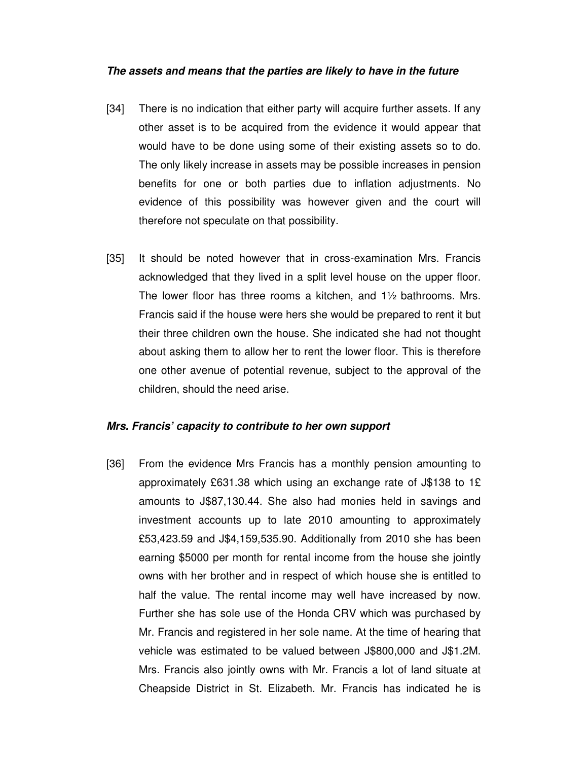#### **The assets and means that the parties are likely to have in the future**

- [34] There is no indication that either party will acquire further assets. If any other asset is to be acquired from the evidence it would appear that would have to be done using some of their existing assets so to do. The only likely increase in assets may be possible increases in pension benefits for one or both parties due to inflation adjustments. No evidence of this possibility was however given and the court will therefore not speculate on that possibility.
- [35] It should be noted however that in cross-examination Mrs. Francis acknowledged that they lived in a split level house on the upper floor. The lower floor has three rooms a kitchen, and 1½ bathrooms. Mrs. Francis said if the house were hers she would be prepared to rent it but their three children own the house. She indicated she had not thought about asking them to allow her to rent the lower floor. This is therefore one other avenue of potential revenue, subject to the approval of the children, should the need arise.

#### **Mrs. Francis' capacity to contribute to her own support**

[36] From the evidence Mrs Francis has a monthly pension amounting to approximately £631.38 which using an exchange rate of J\$138 to 1£ amounts to J\$87,130.44. She also had monies held in savings and investment accounts up to late 2010 amounting to approximately £53,423.59 and J\$4,159,535.90. Additionally from 2010 she has been earning \$5000 per month for rental income from the house she jointly owns with her brother and in respect of which house she is entitled to half the value. The rental income may well have increased by now. Further she has sole use of the Honda CRV which was purchased by Mr. Francis and registered in her sole name. At the time of hearing that vehicle was estimated to be valued between J\$800,000 and J\$1.2M. Mrs. Francis also jointly owns with Mr. Francis a lot of land situate at Cheapside District in St. Elizabeth. Mr. Francis has indicated he is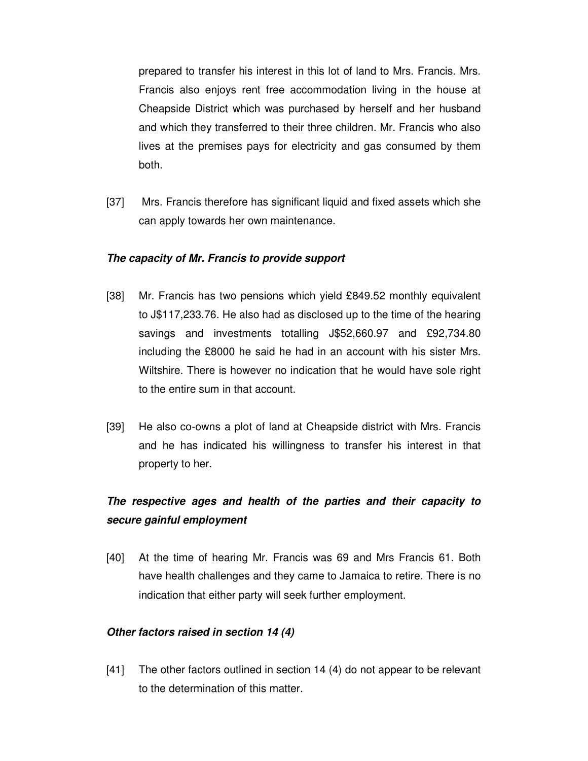prepared to transfer his interest in this lot of land to Mrs. Francis. Mrs. Francis also enjoys rent free accommodation living in the house at Cheapside District which was purchased by herself and her husband and which they transferred to their three children. Mr. Francis who also lives at the premises pays for electricity and gas consumed by them both.

[37] Mrs. Francis therefore has significant liquid and fixed assets which she can apply towards her own maintenance.

# **The capacity of Mr. Francis to provide support**

- [38] Mr. Francis has two pensions which yield £849.52 monthly equivalent to J\$117,233.76. He also had as disclosed up to the time of the hearing savings and investments totalling J\$52,660.97 and £92,734.80 including the £8000 he said he had in an account with his sister Mrs. Wiltshire. There is however no indication that he would have sole right to the entire sum in that account.
- [39] He also co-owns a plot of land at Cheapside district with Mrs. Francis and he has indicated his willingness to transfer his interest in that property to her.

# **The respective ages and health of the parties and their capacity to secure gainful employment**

[40] At the time of hearing Mr. Francis was 69 and Mrs Francis 61. Both have health challenges and they came to Jamaica to retire. There is no indication that either party will seek further employment.

# **Other factors raised in section 14 (4)**

[41] The other factors outlined in section 14 (4) do not appear to be relevant to the determination of this matter.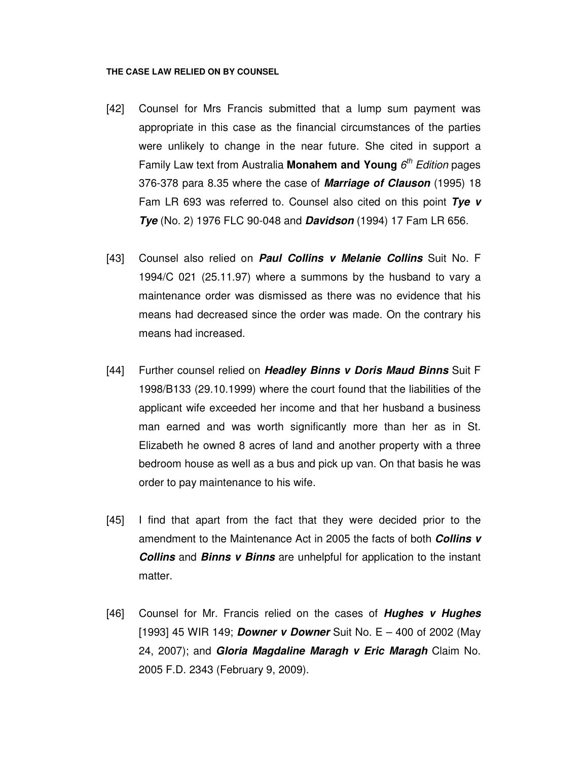#### **THE CASE LAW RELIED ON BY COUNSEL**

- [42] Counsel for Mrs Francis submitted that a lump sum payment was appropriate in this case as the financial circumstances of the parties were unlikely to change in the near future. She cited in support a Family Law text from Australia Monahem and Young 6<sup>th</sup> Edition pages 376-378 para 8.35 where the case of **Marriage of Clauson** (1995) 18 Fam LR 693 was referred to. Counsel also cited on this point **Tye v Tye** (No. 2) 1976 FLC 90-048 and **Davidson** (1994) 17 Fam LR 656.
- [43] Counsel also relied on **Paul Collins v Melanie Collins** Suit No. F 1994/C 021 (25.11.97) where a summons by the husband to vary a maintenance order was dismissed as there was no evidence that his means had decreased since the order was made. On the contrary his means had increased.
- [44] Further counsel relied on **Headley Binns v Doris Maud Binns** Suit F 1998/B133 (29.10.1999) where the court found that the liabilities of the applicant wife exceeded her income and that her husband a business man earned and was worth significantly more than her as in St. Elizabeth he owned 8 acres of land and another property with a three bedroom house as well as a bus and pick up van. On that basis he was order to pay maintenance to his wife.
- [45] I find that apart from the fact that they were decided prior to the amendment to the Maintenance Act in 2005 the facts of both **Collins v Collins** and **Binns v Binns** are unhelpful for application to the instant matter.
- [46] Counsel for Mr. Francis relied on the cases of **Hughes v Hughes** [1993] 45 WIR 149; **Downer v Downer** Suit No. E – 400 of 2002 (May 24, 2007); and **Gloria Magdaline Maragh v Eric Maragh** Claim No. 2005 F.D. 2343 (February 9, 2009).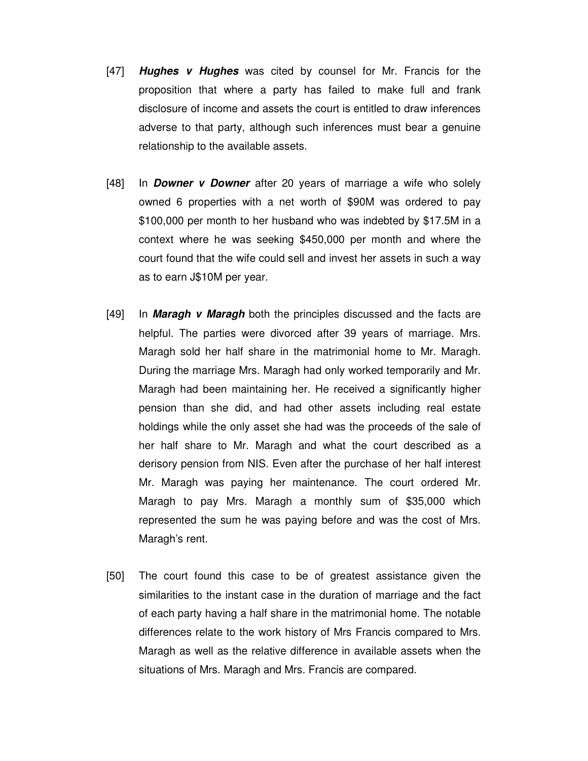- [47] **Hughes v Hughes** was cited by counsel for Mr. Francis for the proposition that where a party has failed to make full and frank disclosure of income and assets the court is entitled to draw inferences adverse to that party, although such inferences must bear a genuine relationship to the available assets.
- [48] In **Downer v Downer** after 20 years of marriage a wife who solely owned 6 properties with a net worth of \$90M was ordered to pay \$100,000 per month to her husband who was indebted by \$17.5M in a context where he was seeking \$450,000 per month and where the court found that the wife could sell and invest her assets in such a way as to earn J\$10M per year.
- [49] In **Maragh v Maragh** both the principles discussed and the facts are helpful. The parties were divorced after 39 years of marriage. Mrs. Maragh sold her half share in the matrimonial home to Mr. Maragh. During the marriage Mrs. Maragh had only worked temporarily and Mr. Maragh had been maintaining her. He received a significantly higher pension than she did, and had other assets including real estate holdings while the only asset she had was the proceeds of the sale of her half share to Mr. Maragh and what the court described as a derisory pension from NIS. Even after the purchase of her half interest Mr. Maragh was paying her maintenance. The court ordered Mr. Maragh to pay Mrs. Maragh a monthly sum of \$35,000 which represented the sum he was paying before and was the cost of Mrs. Maragh's rent.
- [50] The court found this case to be of greatest assistance given the similarities to the instant case in the duration of marriage and the fact of each party having a half share in the matrimonial home. The notable differences relate to the work history of Mrs Francis compared to Mrs. Maragh as well as the relative difference in available assets when the situations of Mrs. Maragh and Mrs. Francis are compared.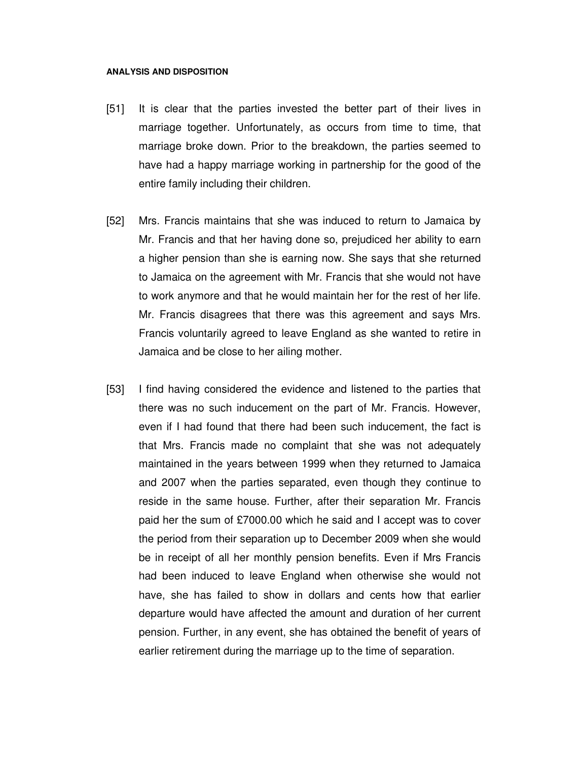#### **ANALYSIS AND DISPOSITION**

- [51] It is clear that the parties invested the better part of their lives in marriage together. Unfortunately, as occurs from time to time, that marriage broke down. Prior to the breakdown, the parties seemed to have had a happy marriage working in partnership for the good of the entire family including their children.
- [52] Mrs. Francis maintains that she was induced to return to Jamaica by Mr. Francis and that her having done so, prejudiced her ability to earn a higher pension than she is earning now. She says that she returned to Jamaica on the agreement with Mr. Francis that she would not have to work anymore and that he would maintain her for the rest of her life. Mr. Francis disagrees that there was this agreement and says Mrs. Francis voluntarily agreed to leave England as she wanted to retire in Jamaica and be close to her ailing mother.
- [53] I find having considered the evidence and listened to the parties that there was no such inducement on the part of Mr. Francis. However, even if I had found that there had been such inducement, the fact is that Mrs. Francis made no complaint that she was not adequately maintained in the years between 1999 when they returned to Jamaica and 2007 when the parties separated, even though they continue to reside in the same house. Further, after their separation Mr. Francis paid her the sum of £7000.00 which he said and I accept was to cover the period from their separation up to December 2009 when she would be in receipt of all her monthly pension benefits. Even if Mrs Francis had been induced to leave England when otherwise she would not have, she has failed to show in dollars and cents how that earlier departure would have affected the amount and duration of her current pension. Further, in any event, she has obtained the benefit of years of earlier retirement during the marriage up to the time of separation.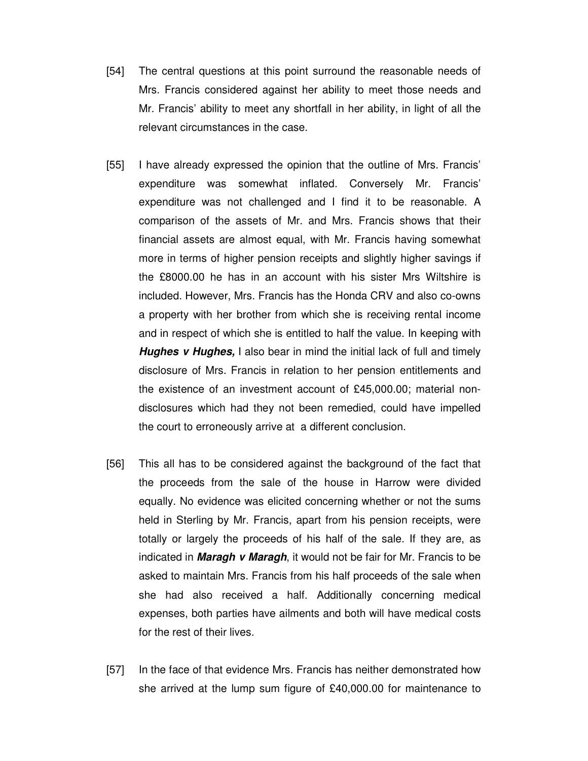- [54] The central questions at this point surround the reasonable needs of Mrs. Francis considered against her ability to meet those needs and Mr. Francis' ability to meet any shortfall in her ability, in light of all the relevant circumstances in the case.
- [55] I have already expressed the opinion that the outline of Mrs. Francis' expenditure was somewhat inflated. Conversely Mr. Francis' expenditure was not challenged and I find it to be reasonable. A comparison of the assets of Mr. and Mrs. Francis shows that their financial assets are almost equal, with Mr. Francis having somewhat more in terms of higher pension receipts and slightly higher savings if the £8000.00 he has in an account with his sister Mrs Wiltshire is included. However, Mrs. Francis has the Honda CRV and also co-owns a property with her brother from which she is receiving rental income and in respect of which she is entitled to half the value. In keeping with **Hughes v Hughes,** I also bear in mind the initial lack of full and timely disclosure of Mrs. Francis in relation to her pension entitlements and the existence of an investment account of £45,000.00; material nondisclosures which had they not been remedied, could have impelled the court to erroneously arrive at a different conclusion.
- [56] This all has to be considered against the background of the fact that the proceeds from the sale of the house in Harrow were divided equally. No evidence was elicited concerning whether or not the sums held in Sterling by Mr. Francis, apart from his pension receipts, were totally or largely the proceeds of his half of the sale. If they are, as indicated in **Maragh v Maragh**, it would not be fair for Mr. Francis to be asked to maintain Mrs. Francis from his half proceeds of the sale when she had also received a half. Additionally concerning medical expenses, both parties have ailments and both will have medical costs for the rest of their lives.
- [57] In the face of that evidence Mrs. Francis has neither demonstrated how she arrived at the lump sum figure of £40,000.00 for maintenance to